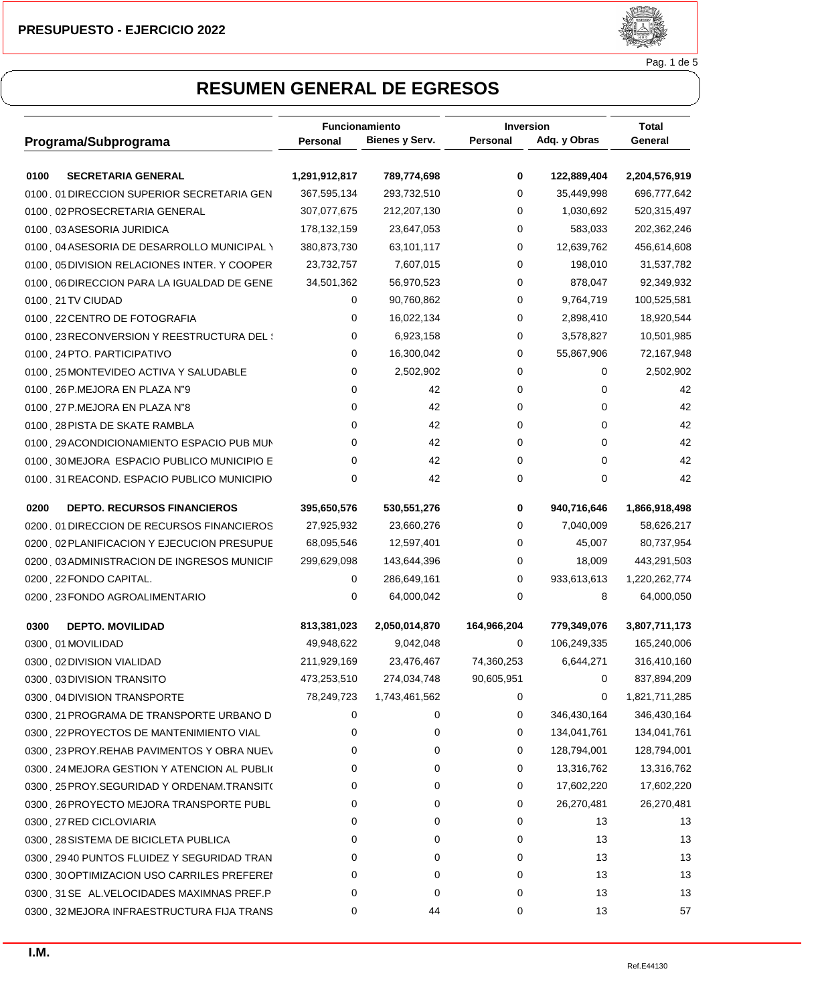

Pag. 1 de 5

|                                             | Funcionamiento |                       | <b>Inversion</b> |              | <b>Total</b>  |  |
|---------------------------------------------|----------------|-----------------------|------------------|--------------|---------------|--|
| Programa/Subprograma                        | Personal       | <b>Bienes y Serv.</b> | Personal         | Adq. y Obras | General       |  |
| 0100<br><b>SECRETARIA GENERAL</b>           | 1,291,912,817  | 789,774,698           | 0                | 122,889,404  | 2,204,576,919 |  |
| 0100 01 DIRECCION SUPERIOR SECRETARIA GEN   | 367,595,134    | 293,732,510           | 0                | 35,449,998   | 696,777,642   |  |
| 0100 02 PROSECRETARIA GENERAL               | 307,077,675    | 212,207,130           | 0                | 1,030,692    | 520,315,497   |  |
| 0100 03ASESORIA JURIDICA                    | 178,132,159    | 23,647,053            | 0                | 583,033      | 202,362,246   |  |
| 0100 04 ASESORIA DE DESARROLLO MUNICIPAL \  | 380,873,730    | 63,101,117            | 0                | 12,639,762   | 456,614,608   |  |
| 0100 05 DIVISION RELACIONES INTER. Y COOPER | 23,732,757     | 7,607,015             | 0                | 198,010      | 31,537,782    |  |
| 0100 O6 DIRECCION PARA LA IGUALDAD DE GENE  | 34,501,362     | 56,970,523            | 0                | 878,047      | 92,349,932    |  |
| 0100 21 TV CIUDAD                           | 0              | 90,760,862            | 0                | 9,764,719    | 100,525,581   |  |
| 0100 22 CENTRO DE FOTOGRAFIA                | 0              | 16,022,134            | 0                | 2,898,410    | 18,920,544    |  |
| 0100 23 RECONVERSION Y REESTRUCTURA DEL :   | 0              | 6,923,158             | 0                | 3,578,827    | 10,501,985    |  |
| 0100 24 PTO. PARTICIPATIVO                  | 0              | 16,300,042            | 0                | 55,867,906   | 72,167,948    |  |
| 0100 25 MONTEVIDEO ACTIVA Y SALUDABLE       | 0              | 2,502,902             | 0                | 0            | 2,502,902     |  |
| 0100 26 P.MEJORA EN PLAZA N"9               | 0              | 42                    | 0                | 0            | 42            |  |
| 0100 27 P.MEJORA EN PLAZA N"8               | 0              | 42                    | 0                | 0            | 42            |  |
| 0100 28 PISTA DE SKATE RAMBLA               | 0              | 42                    | 0                | 0            | 42            |  |
| 0100 29 ACONDICIONAMIENTO ESPACIO PUB MUN   | 0              | 42                    | 0                | 0            | 42            |  |
| 0100 30 MEJORA ESPACIO PUBLICO MUNICIPIO E  | 0              | 42                    | 0                | 0            | 42            |  |
| 0100 31 REACOND. ESPACIO PUBLICO MUNICIPIO  | 0              | 42                    | 0                | 0            | 42            |  |
| 0200<br><b>DEPTO. RECURSOS FINANCIEROS</b>  | 395,650,576    | 530,551,276           | 0                | 940,716,646  | 1,866,918,498 |  |
| 0200 01 DIRECCION DE RECURSOS FINANCIEROS   | 27,925,932     | 23,660,276            | 0                | 7,040,009    | 58,626,217    |  |
| 0200 02 PLANIFICACION Y EJECUCION PRESUPUE  | 68,095,546     | 12,597,401            | 0                | 45,007       | 80,737,954    |  |
| 0200 03 ADMINISTRACION DE INGRESOS MUNICIP  | 299,629,098    | 143,644,396           | 0                | 18,009       | 443,291,503   |  |
| 0200 22 FONDO CAPITAL.                      | 0              | 286,649,161           | 0                | 933,613,613  | 1,220,262,774 |  |
| 0200 23 FONDO AGROALIMENTARIO               | 0              | 64,000,042            | 0                | 8            | 64,000,050    |  |
| 0300<br><b>DEPTO. MOVILIDAD</b>             | 813,381,023    | 2,050,014,870         | 164,966,204      | 779,349,076  | 3,807,711,173 |  |
| 0300 01 MOVILIDAD                           | 49,948,622     | 9,042,048             | 0                | 106,249,335  | 165,240,006   |  |
| 0300 02 DIVISION VIALIDAD                   | 211,929,169    | 23,476,467            | 74,360,253       | 6,644,271    | 316,410,160   |  |
| 0300 03 DIVISION TRANSITO                   | 473,253,510    | 274,034,748           | 90,605,951       | 0            | 837,894,209   |  |
| 0300 04 DIVISION TRANSPORTE                 | 78,249,723     | 1,743,461,562         | 0                | 0            | 1,821,711,285 |  |
| 0300 21 PROGRAMA DE TRANSPORTE URBANO D     | 0              | 0                     | 0                | 346,430,164  | 346,430,164   |  |
| 0300 22 PROYECTOS DE MANTENIMIENTO VIAL     | 0              | 0                     | 0                | 134,041,761  | 134,041,761   |  |
| 0300 23 PROY.REHAB PAVIMENTOS Y OBRA NUEV   | 0              | 0                     | 0                | 128,794,001  | 128,794,001   |  |
| 0300 24 MEJORA GESTION Y ATENCION AL PUBLIO | 0              | 0                     | 0                | 13,316,762   | 13,316,762    |  |
| 0300 25 PROY.SEGURIDAD Y ORDENAM.TRANSIT(   | 0              | 0                     | 0                | 17,602,220   | 17,602,220    |  |
| 0300 26 PROYECTO MEJORA TRANSPORTE PUBL     | 0              | 0                     | 0                | 26,270,481   | 26,270,481    |  |
| 0300 27 RED CICLOVIARIA                     | 0              | 0                     | 0                | 13           | 13            |  |
| 0300 28 SISTEMA DE BICICLETA PUBLICA        | 0              | 0                     | 0                | 13           | 13            |  |
| 0300 2940 PUNTOS FLUIDEZ Y SEGURIDAD TRAN   | 0              | 0                     | 0                | 13           | 13            |  |
| 0300 30 OPTIMIZACION USO CARRILES PREFEREI  | 0              | 0                     | 0                | 13           | 13            |  |
| 0300 31 SEÑAL. VELOCIDADES MAXIMNAS PREF.P  | 0              | 0                     | 0                | 13           | 13            |  |
| 0300 32 MEJORA INFRAESTRUCTURA FIJA TRANS   | 0              | 44                    | 0                | 13           | 57            |  |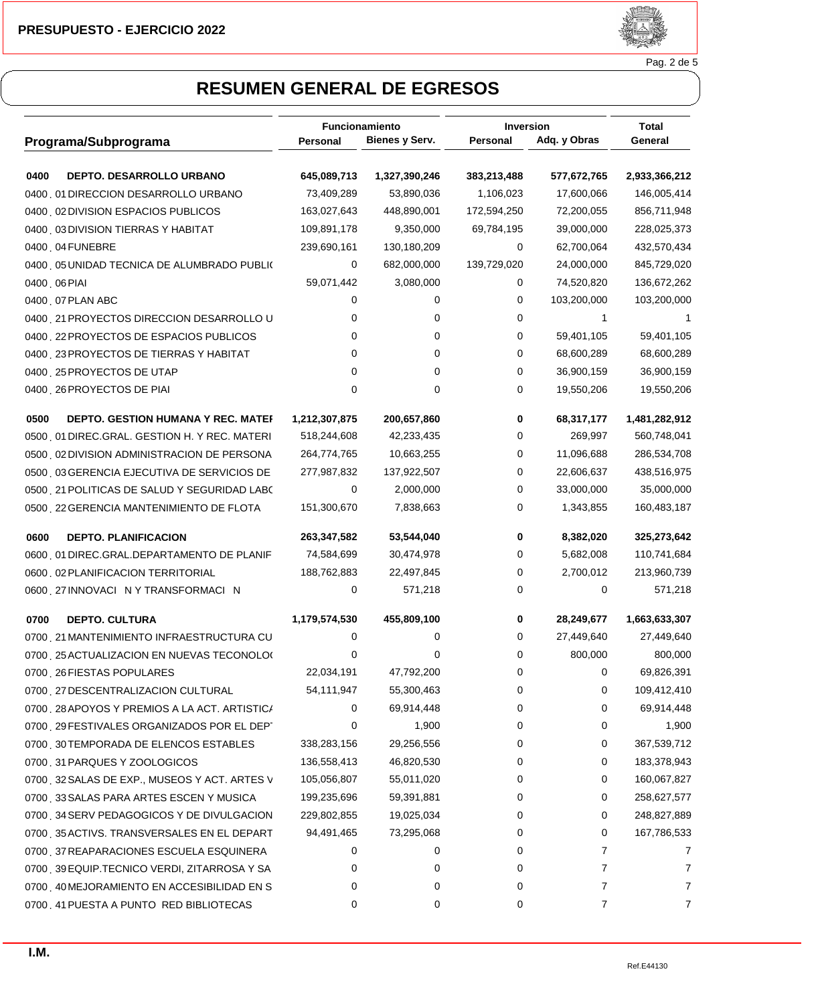

Pag. 2 de 5

|                                                   | <b>Funcionamiento</b> |                       | <b>Inversion</b> |              | Total         |  |
|---------------------------------------------------|-----------------------|-----------------------|------------------|--------------|---------------|--|
| Programa/Subprograma                              | Personal              | <b>Bienes y Serv.</b> | Personal         | Adq. y Obras | General       |  |
| DEPTO. DESARROLLO URBANO<br>0400                  | 645,089,713           | 1,327,390,246         | 383,213,488      | 577,672,765  | 2,933,366,212 |  |
| 0400 01 DIRECCION DESARROLLO URBANO               | 73,409,289            | 53,890,036            | 1,106,023        | 17,600,066   | 146,005,414   |  |
| 0400 02 DIVISION ESPACIOS PUBLICOS                | 163,027,643           | 448,890,001           | 172,594,250      | 72,200,055   | 856,711,948   |  |
| 0400 03 DIVISION TIERRAS Y HABITAT                | 109,891,178           | 9,350,000             | 69,784,195       | 39,000,000   | 228,025,373   |  |
| 0400 04 FUNEBRE                                   | 239,690,161           | 130,180,209           | 0                | 62,700,064   | 432,570,434   |  |
| 0400 05 UNIDAD TECNICA DE ALUMBRADO PUBLIO        | 0                     | 682,000,000           | 139,729,020      | 24,000,000   | 845,729,020   |  |
| 0400, 06 PIAI                                     | 59,071,442            | 3,080,000             | 0                | 74,520,820   | 136,672,262   |  |
| 0400 07 PLAN ABC                                  | 0                     | 0                     | 0                | 103,200,000  | 103,200,000   |  |
| 0400 21 PROYECTOS DIRECCION DESARROLLO U          | 0                     | 0                     | 0                | 1            |               |  |
| 0400 22 PROYECTOS DE ESPACIOS PUBLICOS            | 0                     | 0                     | 0                | 59,401,105   | 59,401,105    |  |
| 0400 23 PROYECTOS DE TIERRAS Y HABITAT            | 0                     | 0                     | 0                | 68,600,289   | 68,600,289    |  |
| 0400 25 PROYECTOS DE UTAP                         | 0                     | 0                     | 0                | 36,900,159   | 36,900,159    |  |
| 0400 26 PROYECTOS DE PIAI                         | 0                     | 0                     | 0                | 19,550,206   | 19,550,206    |  |
| 0500<br><b>DEPTO. GESTION HUMANA Y REC. MATEF</b> | 1,212,307,875         | 200,657,860           | 0                | 68,317,177   | 1,481,282,912 |  |
| 0500 01 DIREC.GRAL. GESTION H. Y REC. MATERI      | 518,244,608           | 42,233,435            | 0                | 269,997      | 560,748,041   |  |
| 0500 02 DIVISION ADMINISTRACION DE PERSONA        | 264,774,765           | 10,663,255            | 0                | 11,096,688   | 286,534,708   |  |
| 0500 03 GERENCIA EJECUTIVA DE SERVICIOS DE        | 277,987,832           | 137,922,507           | 0                | 22,606,637   | 438,516,975   |  |
| 0500 21 POLITICAS DE SALUD Y SEGURIDAD LABO       | 0                     | 2,000,000             | 0                | 33,000,000   | 35,000,000    |  |
| 0500 22 GERENCIA MANTENIMIENTO DE FLOTA           | 151,300,670           | 7,838,663             | 0                | 1,343,855    | 160,483,187   |  |
| 0600<br><b>DEPTO. PLANIFICACION</b>               | 263,347,582           | 53,544,040            | 0                | 8,382,020    | 325,273,642   |  |
| 0600 01 DIREC.GRAL.DEPARTAMENTO DE PLANIF         | 74,584,699            | 30,474,978            | 0                | 5,682,008    | 110,741,684   |  |
| 0600 02 PLANIFICACION TERRITORIAL                 | 188,762,883           | 22,497,845            | 0                | 2,700,012    | 213,960,739   |  |
| 0600 27 INNOVACIÓN Y TRANSFORMACIÓN               | 0                     | 571,218               | 0                | 0            | 571,218       |  |
| 0700<br><b>DEPTO. CULTURA</b>                     | 1,179,574,530         | 455,809,100           | 0                | 28,249,677   | 1,663,633,307 |  |
| 0700 21 MANTENIMIENTO INFRAESTRUCTURA CU          | 0                     | 0                     | 0                | 27,449,640   | 27,449,640    |  |
| 0700 25 ACTUALIZACION EN NUEVAS TECONOLOG         | 0                     | 0                     | 0                | 800,000      | 800,000       |  |
| 0700 26 FIESTAS POPULARES                         | 22,034,191            | 47,792,200            | 0                | 0            | 69,826,391    |  |
| 0700 27 DESCENTRALIZACION CULTURAL                | 54,111,947            | 55,300,463            | 0                | 0            | 109,412,410   |  |
| 0700 28 APOYOS Y PREMIOS A LA ACT. ARTISTIC/      | 0                     | 69,914,448            | 0                | 0            | 69,914,448    |  |
| 0700 29 FESTIVALES ORGANIZADOS POR EL DEPT        | 0                     | 1,900                 | 0                | 0            | 1,900         |  |
| 0700 30 TEMPORADA DE ELENCOS ESTABLES             | 338,283,156           | 29,256,556            | 0                | 0            | 367,539,712   |  |
| 0700 31 PARQUES Y ZOOLOGICOS                      | 136,558,413           | 46,820,530            | 0                | 0            | 183,378,943   |  |
| 0700 32 SALAS DE EXP., MUSEOS Y ACT. ARTES V      | 105,056,807           | 55,011,020            | 0                | 0            | 160,067,827   |  |
| 0700 33 SALAS PARA ARTES ESCEN Y MUSICA           | 199,235,696           | 59,391,881            | 0                | 0            | 258,627,577   |  |
| 0700 34 SERV PEDAGOGICOS Y DE DIVULGACION         | 229,802,855           | 19,025,034            | 0                | 0            | 248,827,889   |  |
| 0700 35 ACTIVS. TRANSVERSALES EN EL DEPART        | 94,491,465            | 73,295,068            | 0                | 0            | 167,786,533   |  |
| 0700 37 REAPARACIONES ESCUELA ESQUINERA           | 0                     | 0                     | 0                | 7            | 7             |  |
| 0700 39 EQUIP.TECNICO VERDI, ZITARROSA Y SA       | 0                     | 0                     | 0                | 7            |               |  |
| 0700 40 MEJORAMIENTO EN ACCESIBILIDAD EN S        | 0                     | 0                     | 0                | 7            |               |  |
| 0700 41 PUESTA A PUNTO RED BIBLIOTECAS            | 0                     | 0                     | 0                | 7            | 7             |  |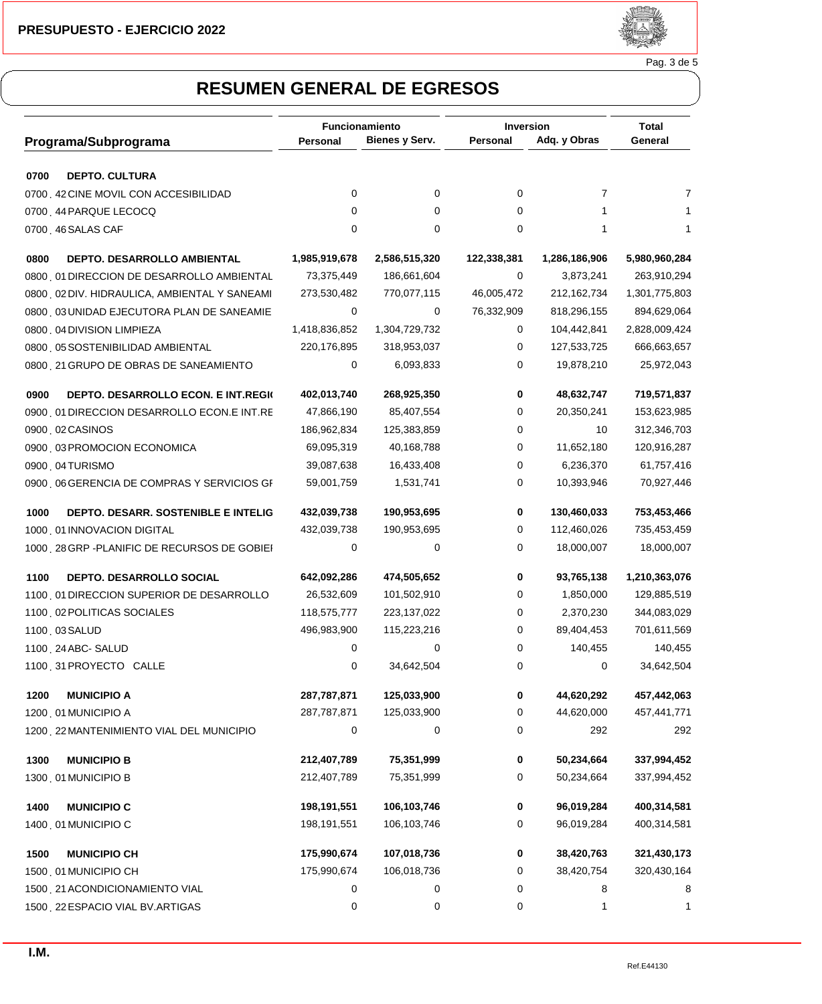

Pag. 3 de 5

|                                                   | <b>Funcionamiento</b> |                | <b>Inversion</b> |               |                  |  |
|---------------------------------------------------|-----------------------|----------------|------------------|---------------|------------------|--|
| Programa/Subprograma                              | <b>Personal</b>       | Bienes y Serv. | Personal         | Adq. y Obras  | Total<br>General |  |
| 0700<br><b>DEPTO. CULTURA</b>                     |                       |                |                  |               |                  |  |
| 0700 42 CINE MOVIL CON ACCESIBILIDAD              | 0                     | 0              | 0                | 7             | 7                |  |
| 0700 44 PARQUE LECOCQ                             | 0                     | 0              | 0                | 1             |                  |  |
| 0700 46 SALAS CAF                                 | 0                     | 0              | 0                | 1             | 1                |  |
| 0800<br>DEPTO. DESARROLLO AMBIENTAL               | 1,985,919,678         | 2,586,515,320  | 122,338,381      | 1,286,186,906 | 5,980,960,284    |  |
| 0800 01 DIRECCION DE DESARROLLO AMBIENTAL         | 73,375,449            | 186,661,604    | 0                | 3,873,241     | 263,910,294      |  |
| 0800 02 DIV. HIDRAULICA, AMBIENTAL Y SANEAMI      | 273,530,482           | 770,077,115    | 46,005,472       | 212, 162, 734 | 1,301,775,803    |  |
| 0800 03 UNIDAD EJECUTORA PLAN DE SANEAMIE         | 0                     | 0              | 76,332,909       | 818,296,155   | 894,629,064      |  |
| 0800 04 DIVISION LIMPIEZA                         | 1,418,836,852         | 1,304,729,732  | 0                | 104,442,841   | 2,828,009,424    |  |
| 0800 05 SOSTENIBILIDAD AMBIENTAL                  | 220,176,895           | 318,953,037    | 0                | 127,533,725   | 666,663,657      |  |
| 0800 21 GRUPO DE OBRAS DE SANEAMIENTO             | 0                     | 6,093,833      | 0                | 19,878,210    | 25,972,043       |  |
| 0900<br><b>DEPTO. DESARROLLO ECON. E INT.REGK</b> | 402,013,740           | 268,925,350    | 0                | 48,632,747    | 719,571,837      |  |
| 0900 01 DIRECCION DESARROLLO ECON.E INT.RE        | 47,866,190            | 85,407,554     | 0                | 20,350,241    | 153,623,985      |  |
| 0900 02 CASINOS                                   | 186,962,834           | 125,383,859    | 0                | 10            | 312,346,703      |  |
| 0900 03 PROMOCION ECONOMICA                       | 69,095,319            | 40,168,788     | 0                | 11,652,180    | 120,916,287      |  |
| 0900 04TURISMO                                    | 39,087,638            | 16,433,408     | 0                | 6,236,370     | 61,757,416       |  |
| 0900 06 GERENCIA DE COMPRAS Y SERVICIOS GF        | 59,001,759            | 1,531,741      | 0                | 10,393,946    | 70,927,446       |  |
| 1000<br>DEPTO. DESARR. SOSTENIBLE E INTELIG       | 432,039,738           | 190,953,695    | 0                | 130,460,033   | 753,453,466      |  |
| 1000 01 INNOVACION DIGITAL                        | 432,039,738           | 190,953,695    | 0                | 112,460,026   | 735,453,459      |  |
| 1000, 28 GRP - PLANIFIC DE RECURSOS DE GOBIEI     | 0                     | 0              | 0                | 18,000,007    | 18,000,007       |  |
| 1100<br><b>DEPTO. DESARROLLO SOCIAL</b>           | 642,092,286           | 474,505,652    | 0                | 93,765,138    | 1,210,363,076    |  |
| 1100 01 DIRECCION SUPERIOR DE DESARROLLO          | 26,532,609            | 101,502,910    | 0                | 1,850,000     | 129,885,519      |  |
| 1100 02 POLITICAS SOCIALES                        | 118,575,777           | 223, 137, 022  | 0                | 2,370,230     | 344,083,029      |  |
| 1100, 03 SALUD                                    | 496,983,900           | 115,223,216    | 0                | 89,404,453    | 701,611,569      |  |
| 1100 24 ABC- SALUD                                | 0                     | 0              | 0                | 140,455       | 140,455          |  |
| 1100 31 PROYECTO CALLE                            | 0                     | 34,642,504     | 0                | 0             | 34,642,504       |  |
| 1200<br><b>MUNICIPIO A</b>                        | 287,787,871           | 125,033,900    | 0                | 44,620,292    | 457,442,063      |  |
| 1200, 01 MUNICIPIO A                              | 287,787,871           | 125,033,900    | 0                | 44,620,000    | 457,441,771      |  |
| 1200 22 MANTENIMIENTO VIAL DEL MUNICIPIO          | 0                     | 0              | 0                | 292           | 292              |  |
| 1300<br><b>MUNICIPIO B</b>                        | 212,407,789           | 75,351,999     | 0                | 50,234,664    | 337,994,452      |  |
| 1300 01 MUNICIPIO B                               | 212,407,789           | 75,351,999     | 0                | 50,234,664    | 337,994,452      |  |
| 1400<br><b>MUNICIPIO C</b>                        | 198,191,551           | 106,103,746    | 0                | 96,019,284    | 400,314,581      |  |
| 1400 01 MUNICIPIO C                               | 198,191,551           | 106,103,746    | 0                | 96,019,284    | 400,314,581      |  |
| 1500<br><b>MUNICIPIO CH</b>                       | 175,990,674           | 107,018,736    | 0                | 38,420,763    | 321,430,173      |  |
| 1500 01 MUNICIPIO CH                              | 175,990,674           | 106,018,736    | 0                | 38,420,754    | 320,430,164      |  |
| 1500 21 ACONDICIONAMIENTO VIAL                    | 0                     | 0              | 0                | 8             | 8                |  |
| 1500 22 ESPACIO VIAL BV.ARTIGAS                   | 0                     | 0              | 0                | 1             | 1                |  |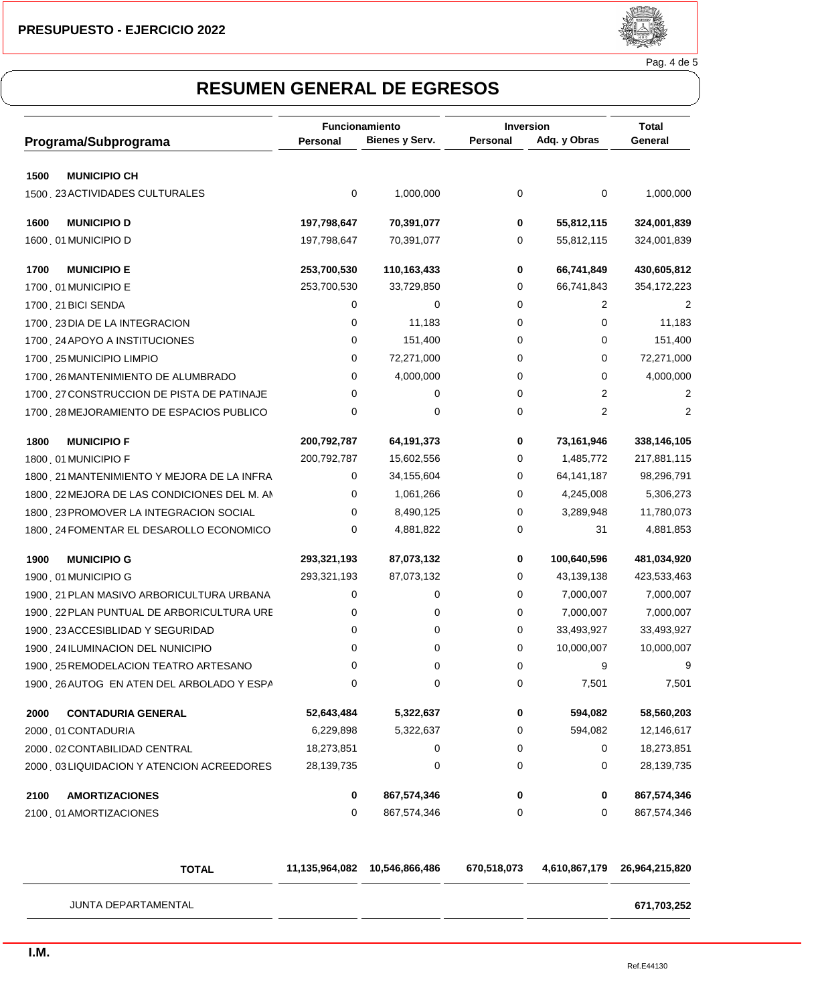

Pag. 4 de 5

|                                              | Funcionamiento |                | Inversion |              | <b>Total</b>   |
|----------------------------------------------|----------------|----------------|-----------|--------------|----------------|
| Programa/Subprograma                         | Personal       | Bienes y Serv. | Personal  | Adq. y Obras | General        |
| 1500<br><b>MUNICIPIO CH</b>                  |                |                |           |              |                |
| 1500 23 ACTIVIDADES CULTURALES               | 0              | 1,000,000      | 0         | 0            | 1,000,000      |
| 1600<br><b>MUNICIPIO D</b>                   | 197,798,647    | 70,391,077     | 0         | 55,812,115   | 324,001,839    |
| 1600 01 MUNICIPIO D                          | 197,798,647    | 70,391,077     | 0         | 55,812,115   | 324,001,839    |
| 1700<br><b>MUNICIPIO E</b>                   | 253,700,530    | 110,163,433    | 0         | 66,741,849   | 430,605,812    |
| 1700 01 MUNICIPIO E                          | 253,700,530    | 33,729,850     | 0         | 66,741,843   | 354,172,223    |
| 1700 21 BICI SENDA                           | 0              | 0              | 0         | 2            | 2              |
| 1700 23 DIA DE LA INTEGRACION                | 0              | 11,183         | 0         | 0            | 11,183         |
| 1700 24 APOYO A INSTITUCIONES                | 0              | 151,400        | 0         | 0            | 151,400        |
| 1700 25 MUNICIPIO LIMPIO                     | 0              | 72,271,000     | 0         | 0            | 72,271,000     |
| 1700 26 MANTENIMIENTO DE ALUMBRADO           | 0              | 4,000,000      | 0         | 0            | 4,000,000      |
| 1700 27 CONSTRUCCION DE PISTA DE PATINAJE    | 0              | 0              | 0         | 2            | $\overline{c}$ |
| 1700 28 MEJORAMIENTO DE ESPACIOS PUBLICO     | 0              | 0              | 0         | 2            | 2              |
| 1800<br><b>MUNICIPIO F</b>                   | 200,792,787    | 64,191,373     | 0         | 73,161,946   | 338,146,105    |
| 1800 01 MUNICIPIO F                          | 200,792,787    | 15,602,556     | 0         | 1,485,772    | 217,881,115    |
| 1800 . 21 MANTENIMIENTO Y MEJORA DE LA INFRA | 0              | 34,155,604     | 0         | 64, 141, 187 | 98,296,791     |
| 1800 22 MEJORA DE LAS CONDICIONES DEL M. AN  | 0              | 1,061,266      | 0         | 4,245,008    | 5,306,273      |
| 1800 23 PROMOVER LA INTEGRACION SOCIAL       | 0              | 8,490,125      | 0         | 3,289,948    | 11,780,073     |
| 1800 24 FOMENTAR EL DESAROLLO ECONOMICO      | 0              | 4,881,822      | 0         | 31           | 4,881,853      |
| 1900<br><b>MUNICIPIO G</b>                   | 293,321,193    | 87,073,132     | 0         | 100,640,596  | 481,034,920    |
| 1900, 01 MUNICIPIO G                         | 293,321,193    | 87,073,132     | 0         | 43,139,138   | 423,533,463    |
| 1900 21 PLAN MASIVO ARBORICULTURA URBANA     | 0              | 0              | 0         | 7,000,007    | 7,000,007      |
| 1900 22 PLAN PUNTUAL DE ARBORICULTURA URE    | 0              | 0              | 0         | 7,000,007    | 7,000,007      |
| 1900 23 ACCESIBLIDAD Y SEGURIDAD             | 0              | 0              | 0         | 33,493,927   | 33,493,927     |
| 1900 24 ILUMINACION DEL NUNICIPIO            | 0              | 0              | 0         | 10,000,007   | 10,000,007     |
| 1900 25 REMODELACION TEATRO ARTESANO         | 0              | 0              | 0         | 9            | 9              |
| 1900, 26 AUTOG EN ATEN DEL ARBOLADO Y ESPA   | 0              | 0              | 0         | 7,501        | 7,501          |
| 2000<br><b>CONTADURIA GENERAL</b>            | 52,643,484     | 5,322,637      | 0         | 594,082      | 58,560,203     |
| 2000 01 CONTADURIA                           | 6,229,898      | 5,322,637      | 0         | 594,082      | 12,146,617     |
| 2000 02 CONTABILIDAD CENTRAL                 | 18,273,851     | 0              | 0         | 0            | 18,273,851     |
| 2000 03 LIQUIDACION Y ATENCION ACREEDORES    | 28,139,735     | 0              | 0         | 0            | 28,139,735     |
| 2100<br><b>AMORTIZACIONES</b>                | 0              | 867,574,346    | 0         | 0            | 867,574,346    |
| 2100 01 AMORTIZACIONES                       | 0              | 867,574,346    | 0         | 0            | 867,574,346    |

| <b>TOTAL</b>               | 11,135,964,082 | 10,546,866,486 | 670,518,073 | 4,610,867,179 | 26,964,215,820 |
|----------------------------|----------------|----------------|-------------|---------------|----------------|
| <b>JUNTA DEPARTAMENTAL</b> |                |                |             |               | 671,703,252    |